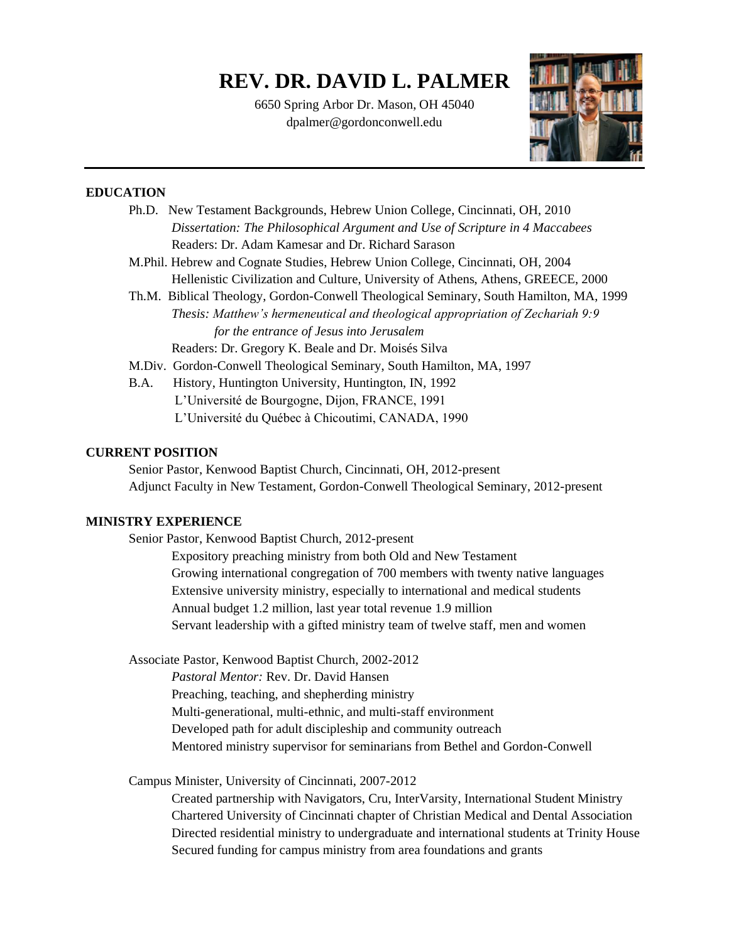# **REV. DR. DAVID L. PALMER**

6650 Spring Arbor Dr. Mason, OH 45040 dpalmer@gordonconwell.edu



## **EDUCATION**

| Ph.D. New Testament Backgrounds, Hebrew Union College, Cincinnati, OH, 2010            |
|----------------------------------------------------------------------------------------|
| Dissertation: The Philosophical Argument and Use of Scripture in 4 Maccabees           |
| Readers: Dr. Adam Kamesar and Dr. Richard Sarason                                      |
| M. Phil. Hebrew and Cognate Studies, Hebrew Union College, Cincinnati, OH, 2004        |
| Hellenistic Civilization and Culture, University of Athens, Athens, GREECE, 2000       |
| Th.M. Biblical Theology, Gordon-Conwell Theological Seminary, South Hamilton, MA, 1999 |
| Thesis: Matthew's hermeneutical and theological appropriation of Zechariah 9:9         |
| for the entrance of Jesus into Jerusalem                                               |
| Readers: Dr. Gregory K. Beale and Dr. Moisés Silva                                     |
| M.Div. Gordon-Conwell Theological Seminary, South Hamilton, MA, 1997                   |
| History, Huntington University, Huntington, IN, 1992<br>B.A.                           |
| L'Université de Bourgogne, Dijon, FRANCE, 1991                                         |
| L'Université du Québec à Chicoutimi, CANADA, 1990                                      |

## **CURRENT POSITION**

Senior Pastor, Kenwood Baptist Church, Cincinnati, OH, 2012-present Adjunct Faculty in New Testament, Gordon-Conwell Theological Seminary, 2012-present

# **MINISTRY EXPERIENCE**

Senior Pastor, Kenwood Baptist Church, 2012-present

Expository preaching ministry from both Old and New Testament Growing international congregation of 700 members with twenty native languages Extensive university ministry, especially to international and medical students Annual budget 1.2 million, last year total revenue 1.9 million Servant leadership with a gifted ministry team of twelve staff, men and women

Associate Pastor, Kenwood Baptist Church, 2002-2012

*Pastoral Mentor:* Rev. Dr. David Hansen

Preaching, teaching, and shepherding ministry

Multi-generational, multi-ethnic, and multi-staff environment

Developed path for adult discipleship and community outreach

Mentored ministry supervisor for seminarians from Bethel and Gordon-Conwell

Campus Minister, University of Cincinnati, 2007-2012

Created partnership with Navigators, Cru, InterVarsity, International Student Ministry Chartered University of Cincinnati chapter of Christian Medical and Dental Association Directed residential ministry to undergraduate and international students at Trinity House Secured funding for campus ministry from area foundations and grants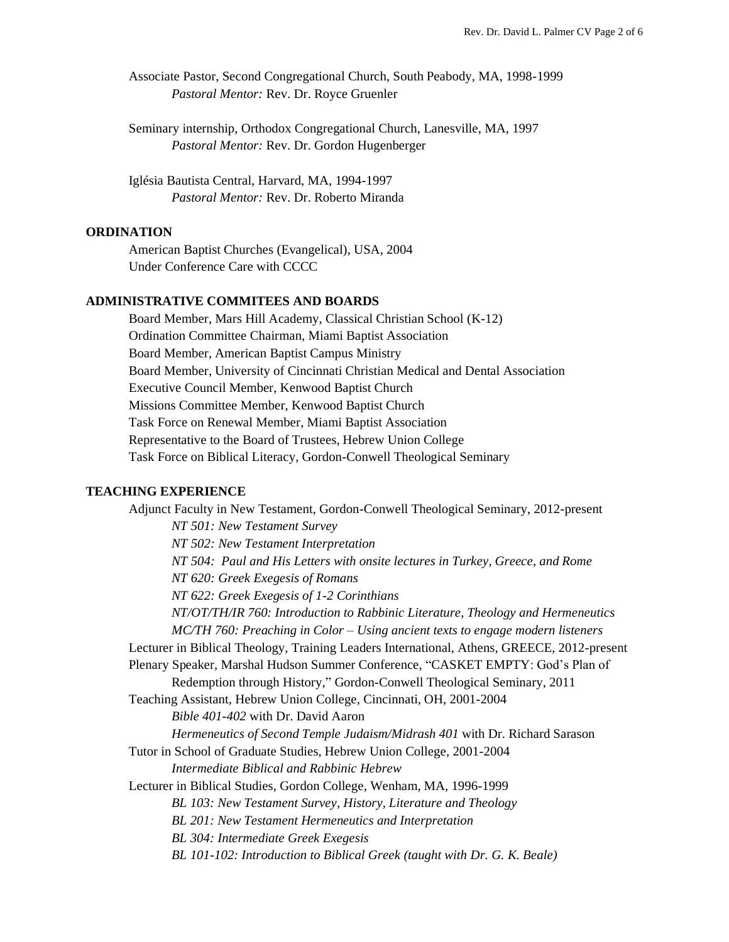Associate Pastor, Second Congregational Church, South Peabody, MA, 1998-1999 *Pastoral Mentor:* Rev. Dr. Royce Gruenler

Seminary internship, Orthodox Congregational Church, Lanesville, MA, 1997 *Pastoral Mentor:* Rev. Dr. Gordon Hugenberger

Iglésia Bautista Central, Harvard, MA, 1994-1997 *Pastoral Mentor:* Rev. Dr. Roberto Miranda

## **ORDINATION**

American Baptist Churches (Evangelical), USA, 2004 Under Conference Care with CCCC

## **ADMINISTRATIVE COMMITEES AND BOARDS**

Board Member, Mars Hill Academy, Classical Christian School (K-12) Ordination Committee Chairman, Miami Baptist Association Board Member, American Baptist Campus Ministry Board Member, University of Cincinnati Christian Medical and Dental Association Executive Council Member, Kenwood Baptist Church Missions Committee Member, Kenwood Baptist Church Task Force on Renewal Member, Miami Baptist Association Representative to the Board of Trustees, Hebrew Union College Task Force on Biblical Literacy, Gordon-Conwell Theological Seminary

#### **TEACHING EXPERIENCE**

Adjunct Faculty in New Testament, Gordon-Conwell Theological Seminary, 2012-present *NT 501: New Testament Survey NT 502: New Testament Interpretation NT 504: Paul and His Letters with onsite lectures in Turkey, Greece, and Rome NT 620: Greek Exegesis of Romans NT 622: Greek Exegesis of 1-2 Corinthians NT/OT/TH/IR 760: Introduction to Rabbinic Literature, Theology and Hermeneutics MC/TH 760: Preaching in Color – Using ancient texts to engage modern listeners* Lecturer in Biblical Theology, Training Leaders International, Athens, GREECE, 2012-present Plenary Speaker, Marshal Hudson Summer Conference, "CASKET EMPTY: God's Plan of Redemption through History," Gordon-Conwell Theological Seminary, 2011 Teaching Assistant, Hebrew Union College, Cincinnati, OH, 2001-2004 *Bible 401-402* with Dr. David Aaron *Hermeneutics of Second Temple Judaism/Midrash 401* with Dr. Richard Sarason Tutor in School of Graduate Studies, Hebrew Union College, 2001-2004 *Intermediate Biblical and Rabbinic Hebrew*  Lecturer in Biblical Studies, Gordon College, Wenham, MA, 1996-1999 *BL 103: New Testament Survey, History, Literature and Theology BL 201: New Testament Hermeneutics and Interpretation BL 304: Intermediate Greek Exegesis BL 101-102: Introduction to Biblical Greek (taught with Dr. G. K. Beale)*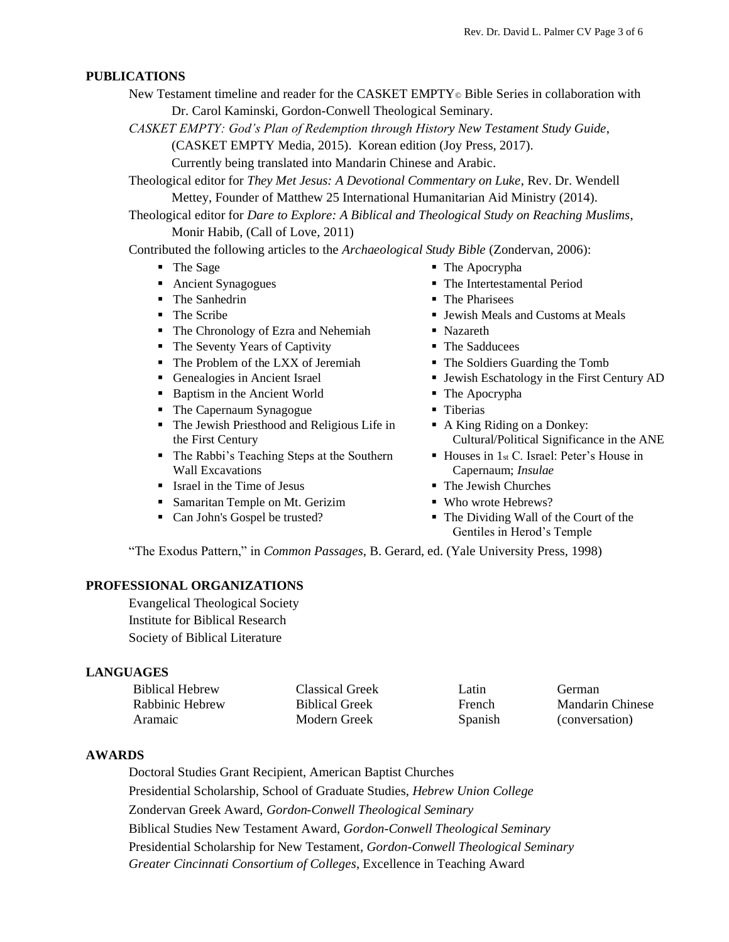#### **PUBLICATIONS**

- New Testament timeline and reader for the CASKET EMPTY<sup>®</sup> Bible Series in collaboration with Dr. Carol Kaminski, Gordon-Conwell Theological Seminary.
	- *CASKET EMPTY: God's Plan of Redemption through History New Testament Study Guide*,

(CASKET EMPTY Media, 2015). Korean edition (Joy Press, 2017).

Currently being translated into Mandarin Chinese and Arabic.

Theological editor for *They Met Jesus: A Devotional Commentary on Luke*, Rev. Dr. Wendell Mettey, Founder of Matthew 25 International Humanitarian Aid Ministry (2014).

Theological editor for *Dare to Explore: A Biblical and Theological Study on Reaching Muslims*, Monir Habib, (Call of Love, 2011)

Contributed the following articles to the *Archaeological Study Bible* (Zondervan, 2006):

- 
- 
- The Sanhedrin The Pharisees
- 
- The Chronology of Ezra and Nehemiah Nazareth
- The Seventy Years of Captivity The Sadducees
- The Problem of the LXX of Jeremiah The Soldiers Guarding the Tomb
- 
- Baptism in the Ancient World The Apocrypha
- The Capernaum Synagogue Tiberias
- The Jewish Priesthood and Religious Life in the First Century
- The Rabbi's Teaching Steps at the Southern Wall Excavations
- Israel in the Time of Jesus The Jewish Churches
- Samaritan Temple on Mt. Gerizim Who wrote Hebrews?
- 
- The Sage The Apocrypha
- Ancient Synagogues The Intertestamental Period
	-
- The Scribe Jewish Meals and Customs at Meals
	-
	-
	-
- Genealogies in Ancient Israel Jewish Eschatology in the First Century AD
	-
	-
	- A King Riding on a Donkey: Cultural/Political Significance in the ANE
	- Houses in 1<sub>st</sub> C. Israel: Peter's House in Capernaum; *Insulae*
	-
	-
- Can John's Gospel be trusted? The Dividing Wall of the Court of the Gentiles in Herod's Temple

"The Exodus Pattern," in *Common Passages*, B. Gerard, ed. (Yale University Press, 1998)

## **PROFESSIONAL ORGANIZATIONS**

Evangelical Theological Society Institute for Biblical Research Society of Biblical Literature

#### **LANGUAGES**

| <b>Biblical Hebrew</b> | Classical Greek       | Latin         | German           |
|------------------------|-----------------------|---------------|------------------|
| Rabbinic Hebrew        | <b>Biblical Greek</b> | <b>French</b> | Mandarin Chinese |
| Aramaic                | Modern Greek          | Spanish       | (conversation)   |

#### **AWARDS**

Doctoral Studies Grant Recipient, American Baptist Churches Presidential Scholarship, School of Graduate Studies, *Hebrew Union College* Zondervan Greek Award, *Gordon-Conwell Theological Seminary* Biblical Studies New Testament Award, *Gordon-Conwell Theological Seminary* Presidential Scholarship for New Testament*, Gordon-Conwell Theological Seminary Greater Cincinnati Consortium of Colleges*, Excellence in Teaching Award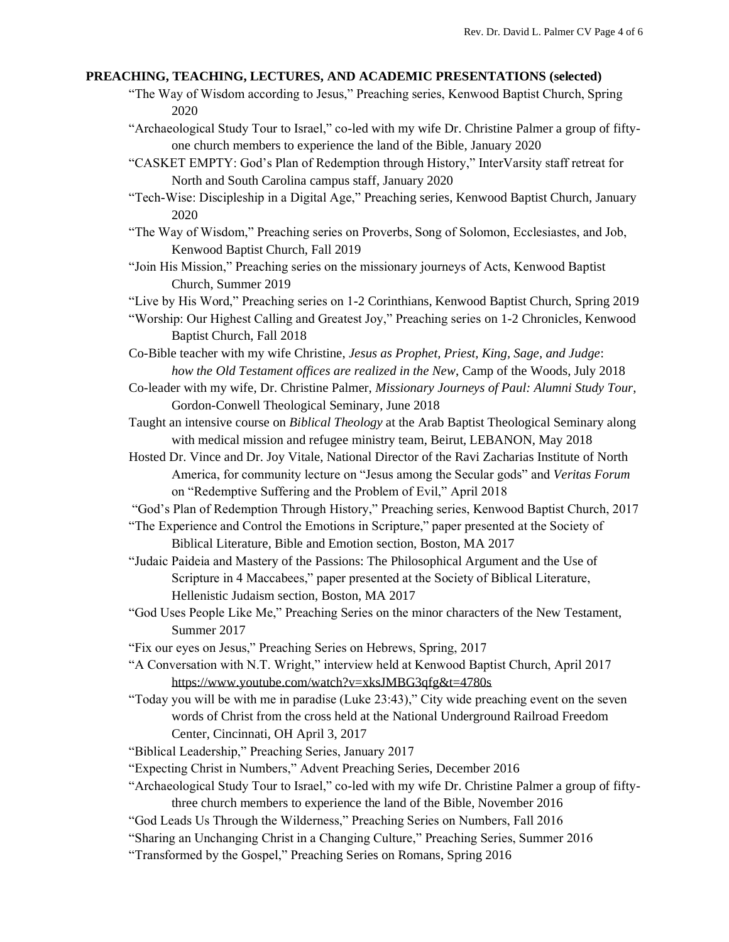### **PREACHING, TEACHING, LECTURES, AND ACADEMIC PRESENTATIONS (selected)**

- "The Way of Wisdom according to Jesus," Preaching series, Kenwood Baptist Church, Spring 2020
- "Archaeological Study Tour to Israel," co-led with my wife Dr. Christine Palmer a group of fiftyone church members to experience the land of the Bible, January 2020
- "CASKET EMPTY: God's Plan of Redemption through History," InterVarsity staff retreat for North and South Carolina campus staff, January 2020
- "Tech-Wise: Discipleship in a Digital Age," Preaching series, Kenwood Baptist Church, January 2020
- "The Way of Wisdom," Preaching series on Proverbs, Song of Solomon, Ecclesiastes, and Job, Kenwood Baptist Church, Fall 2019
- "Join His Mission," Preaching series on the missionary journeys of Acts, Kenwood Baptist Church, Summer 2019

"Live by His Word," Preaching series on 1-2 Corinthians, Kenwood Baptist Church, Spring 2019

- "Worship: Our Highest Calling and Greatest Joy," Preaching series on 1-2 Chronicles, Kenwood Baptist Church, Fall 2018
- Co-Bible teacher with my wife Christine, *Jesus as Prophet, Priest, King, Sage, and Judge*: *how the Old Testament offices are realized in the New*, Camp of the Woods, July 2018
- Co-leader with my wife, Dr. Christine Palmer, *Missionary Journeys of Paul: Alumni Study Tour*, Gordon-Conwell Theological Seminary, June 2018
- Taught an intensive course on *Biblical Theology* at the Arab Baptist Theological Seminary along with medical mission and refugee ministry team, Beirut, LEBANON, May 2018
- Hosted Dr. Vince and Dr. Joy Vitale, National Director of the Ravi Zacharias Institute of North America, for community lecture on "Jesus among the Secular gods" and *Veritas Forum*  on "Redemptive Suffering and the Problem of Evil," April 2018
- "God's Plan of Redemption Through History," Preaching series, Kenwood Baptist Church, 2017
- "The Experience and Control the Emotions in Scripture," paper presented at the Society of Biblical Literature, Bible and Emotion section, Boston, MA 2017
- "Judaic Paideia and Mastery of the Passions: The Philosophical Argument and the Use of Scripture in 4 Maccabees," paper presented at the Society of Biblical Literature, Hellenistic Judaism section, Boston, MA 2017
- "God Uses People Like Me," Preaching Series on the minor characters of the New Testament, Summer 2017
- "Fix our eyes on Jesus," Preaching Series on Hebrews, Spring, 2017
- "A Conversation with N.T. Wright," interview held at Kenwood Baptist Church, April 2017 <https://www.youtube.com/watch?v=xksJMBG3qfg&t=4780s>
- "Today you will be with me in paradise (Luke 23:43)," City wide preaching event on the seven words of Christ from the cross held at the National Underground Railroad Freedom Center, Cincinnati, OH April 3, 2017
- "Biblical Leadership," Preaching Series, January 2017
- "Expecting Christ in Numbers," Advent Preaching Series, December 2016
- "Archaeological Study Tour to Israel," co-led with my wife Dr. Christine Palmer a group of fiftythree church members to experience the land of the Bible, November 2016
- "God Leads Us Through the Wilderness," Preaching Series on Numbers, Fall 2016
- "Sharing an Unchanging Christ in a Changing Culture," Preaching Series, Summer 2016
- "Transformed by the Gospel," Preaching Series on Romans, Spring 2016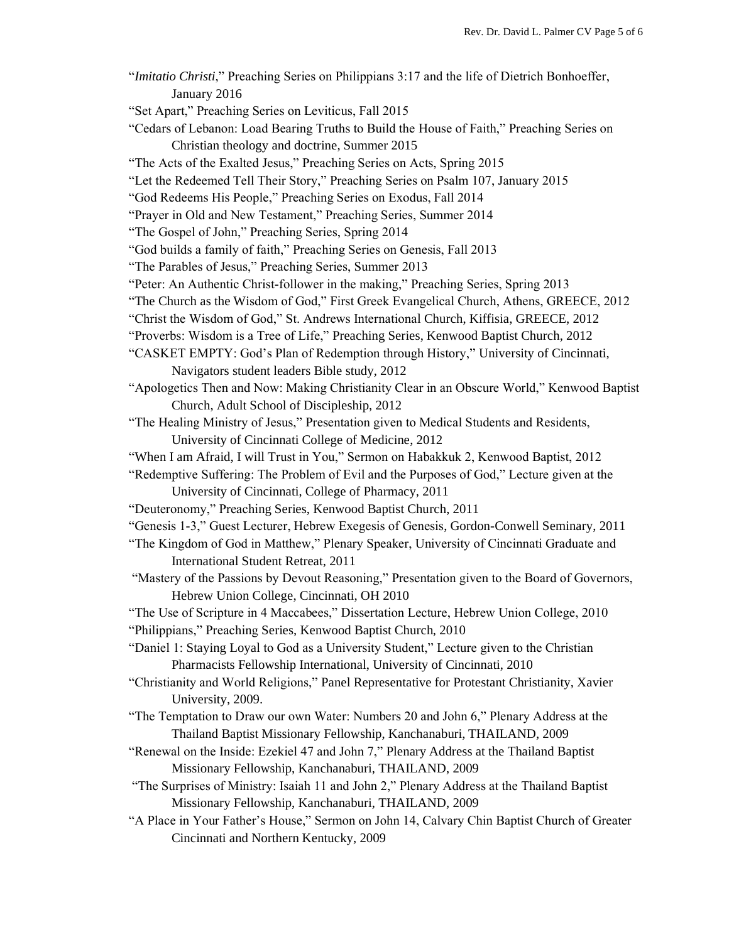| "Imitatio Christi," Preaching Series on Philippians 3:17 and the life of Dietrich Bonhoeffer, |
|-----------------------------------------------------------------------------------------------|
| January 2016                                                                                  |
| "Set Apart," Preaching Series on Leviticus, Fall 2015                                         |
| "Cedars of Lebanon: Load Bearing Truths to Build the House of Faith," Preaching Series on     |
| Christian theology and doctrine, Summer 2015                                                  |
| "The Acts of the Exalted Jesus," Preaching Series on Acts, Spring 2015                        |
| "Let the Redeemed Tell Their Story," Preaching Series on Psalm 107, January 2015              |
| "God Redeems His People," Preaching Series on Exodus, Fall 2014                               |
| "Prayer in Old and New Testament," Preaching Series, Summer 2014                              |
| "The Gospel of John," Preaching Series, Spring 2014                                           |
| "God builds a family of faith," Preaching Series on Genesis, Fall 2013                        |
| "The Parables of Jesus," Preaching Series, Summer 2013                                        |
| "Peter: An Authentic Christ-follower in the making," Preaching Series, Spring 2013            |
| "The Church as the Wisdom of God," First Greek Evangelical Church, Athens, GREECE, 2012       |
| "Christ the Wisdom of God," St. Andrews International Church, Kiffisia, GREECE, 2012          |
| "Proverbs: Wisdom is a Tree of Life," Preaching Series, Kenwood Baptist Church, 2012          |
| "CASKET EMPTY: God's Plan of Redemption through History," University of Cincinnati,           |
| Navigators student leaders Bible study, 2012                                                  |
| "Apologetics Then and Now: Making Christianity Clear in an Obscure World," Kenwood Baptist    |
| Church, Adult School of Discipleship, 2012                                                    |
| "The Healing Ministry of Jesus," Presentation given to Medical Students and Residents,        |
| University of Cincinnati College of Medicine, 2012                                            |
| "When I am Afraid, I will Trust in You," Sermon on Habakkuk 2, Kenwood Baptist, 2012          |
| "Redemptive Suffering: The Problem of Evil and the Purposes of God," Lecture given at the     |
| University of Cincinnati, College of Pharmacy, 2011                                           |
| "Deuteronomy," Preaching Series, Kenwood Baptist Church, 2011                                 |
| "Genesis 1-3," Guest Lecturer, Hebrew Exegesis of Genesis, Gordon-Conwell Seminary, 2011      |
| "The Kingdom of God in Matthew," Plenary Speaker, University of Cincinnati Graduate and       |
| <b>International Student Retreat, 2011</b>                                                    |
| "Mastery of the Passions by Devout Reasoning," Presentation given to the Board of Governors,  |
| Hebrew Union College, Cincinnati, OH 2010                                                     |
| "The Use of Scripture in 4 Maccabees," Dissertation Lecture, Hebrew Union College, 2010       |
| "Philippians," Preaching Series, Kenwood Baptist Church, 2010                                 |
| "Daniel 1: Staying Loyal to God as a University Student," Lecture given to the Christian      |
| Pharmacists Fellowship International, University of Cincinnati, 2010                          |
| "Christianity and World Religions," Panel Representative for Protestant Christianity, Xavier  |
| University, 2009.                                                                             |
| "The Temptation to Draw our own Water: Numbers 20 and John 6," Plenary Address at the         |
| Thailand Baptist Missionary Fellowship, Kanchanaburi, THAILAND, 2009                          |
| "Renewal on the Inside: Ezekiel 47 and John 7," Plenary Address at the Thailand Baptist       |
| Missionary Fellowship, Kanchanaburi, THAILAND, 2009                                           |
| "The Surprises of Ministry: Isaiah 11 and John 2," Plenary Address at the Thailand Baptist    |
| Missionary Fellowship, Kanchanaburi, THAILAND, 2009                                           |
| "A Place in Your Father's House," Sermon on John 14, Calvary Chin Baptist Church of Greater   |
| Cincinnati and Northern Kentucky, 2009                                                        |